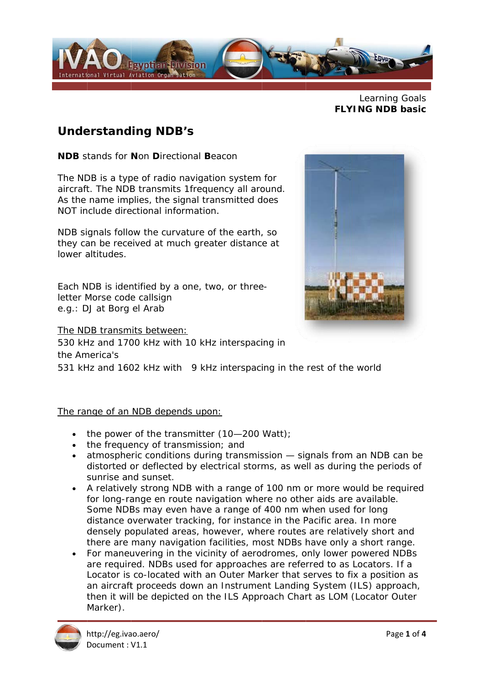

Learning Goals **FLYING NDB basic** 

## **Understanding NDB's**

**NDB** stands for **Non Directional Beacon** 

The NDB is a type of radio navigation system for aircraft. The NDB transmits 1frequency all around. As the name implies, the signal transmitted does NOT include directional information

NDB signals follow the curvature of the earth, so they can be received at much greater distance at lower altitudes

Each NDB is identified by a one, two, or threeletter Morse code callsign e.g.: DJ at Borg el Arab

The NDB transmits between:



531 kHz and 1602 kHz with 9 kHz interspacing in the rest of the world

#### The range of an NDB depends upon:

- $\bullet$  the power of the transmitter (10-200 Watt):
- the frequency of transmission; and
- atmospheric conditions during transmission signals from an NDB can be distorted or deflected by electrical storms, as well as during the periods of sunrise and sunset.
- A relatively strong NDB with a range of 100 nm or more would be required for long-range en route navigation where no other aids are available. Some NDBs may even have a range of 400 nm when used for long distance overwater tracking, for instance in the Pacific area. In more densely populated areas, however, where routes are relatively short and there are many navigation facilities, most NDBs have only a short range.
- For maneuvering in the vicinity of aerodromes, only lower powered NDBs are required. NDBs used for approaches are referred to as Locators. If a Locator is co-located with an Outer Marker that serves to fix a position as an aircraft proceeds down an Instrument Landing System (ILS) approach, then it will be depicted on the ILS Approach Chart as LOM (Locator Outer Marker).

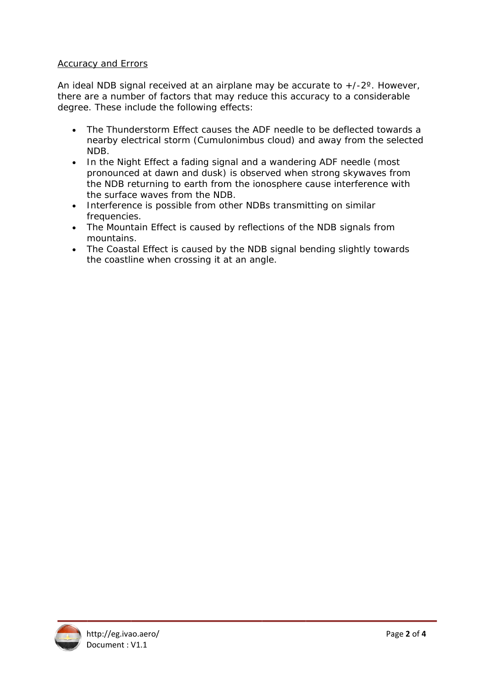#### **Accuracy and Errors**

An ideal NDB signal received at an airplane may be accurate to  $+/-2$ °. However, there are a number of factors that may reduce this accuracy to a considerable degree. These include the following effects:

- The Thunderstorm Effect causes the ADF needle to be deflected towards a nearby electrical storm (Cumulonimbus cloud) and away from the selected NDB.
- In the Night Effect a fading signal and a wandering ADF needle (most pronounced at dawn and dusk) is observed when strong skywaves from the NDB returning to earth from the ionosphere cause interference with the surface waves from the NDB.
- Interference is possible from other NDBs transmitting on similar frequencies.
- The Mountain Effect is caused by reflections of the NDB signals from mountains.
- The Coastal Effect is caused by the NDB signal bending slightly towards the coastline when crossing it at an angle.

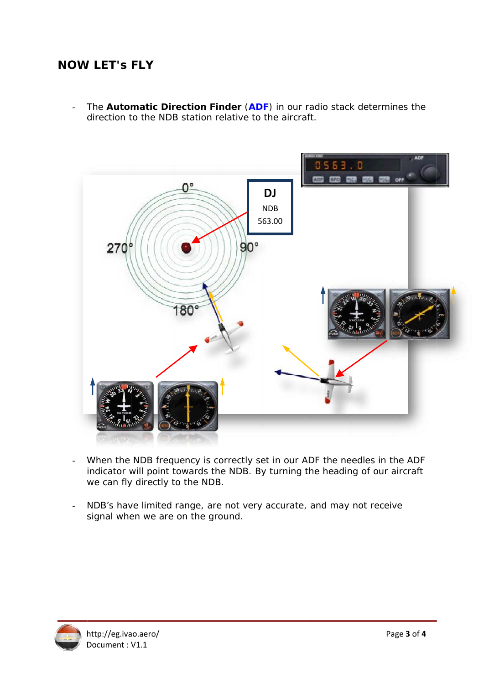# **NOW LET'S FLY**

The Automatic Direction Finder (ADF) in our radio stack determines the  $\overline{a}$ direction to the NDB station relative to the aircraft.



- When the NDB frequency is correctly set in our ADF the needles in the ADF indicator will point towards the NDB. By turning the heading of our aircraft we can fly directly to the NDB.
- NDB's have limited range, are not very accurate, and may not receive signal when we are on the ground.